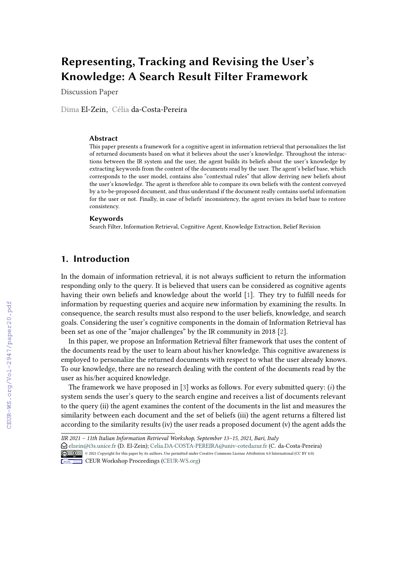# **Representing, Tracking and Revising the User's Knowledge: A Search Result Filter Framework**

Discussion Paper

Dima El-Zein, Célia da-Costa-Pereira

#### **Abstract**

This paper presents a framework for a cognitive agent in information retrieval that personalizes the list of returned documents based on what it believes about the user's knowledge. Throughout the interactions between the IR system and the user, the agent builds its beliefs about the user's knowledge by extracting keywords from the content of the documents read by the user. The agent's belief base, which corresponds to the user model, contains also "contextual rules" that allow deriving new beliefs about the user's knowledge. The agent is therefore able to compare its own beliefs with the content conveyed by a to-be-proposed document, and thus understand if the document really contains useful information for the user or not. Finally, in case of beliefs' inconsistency, the agent revises its belief base to restore consistency.

#### **Keywords**

Search Filter, Information Retrieval, Cognitive Agent, Knowledge Extraction, Belief Revision

## **1. Introduction**

In the domain of information retrieval, it is not always sufficient to return the information responding only to the query. It is believed that users can be considered as cognitive agents having their own beliefs and knowledge about the world [\[1\]](#page--1-0). They try to fulfll needs for information by requesting queries and acquire new information by examining the results. In consequence, the search results must also respond to the user beliefs, knowledge, and search goals. Considering the user's cognitive components in the domain of Information Retrieval has been set as one of the "major challenges" by the IR community in 2018 [\[2\]](#page--1-1).

In this paper, we propose an Information Retrieval flter framework that uses the content of the documents read by the user to learn about his/her knowledge. This cognitive awareness is employed to personalize the returned documents with respect to what the user already knows. To our knowledge, there are no research dealing with the content of the documents read by the user as his/her acquired knowledge.

The framework we have proposed in [\[3\]](#page--1-2) works as follows. For every submitted query:  $(i)$  the system sends the user's query to the search engine and receives a list of documents relevant to the query (ii) the agent examines the content of the documents in the list and measures the similarity between each document and the set of beliefs (iii) the agent returns a fltered list according to the similarity results (iv) the user reads a proposed document (v) the agent adds the

<sup>&</sup>quot; [elzein@i3s.unice.fr](mailto:elzein@i3s.unice.fr) (D. El-Zein); [Celia.DA-COSTA-PEREIRA@univ-cotedazur.fr](mailto:Celia.DA-COSTA-PEREIRA@univ-cotedazur.fr) (C. da-Costa-Pereira) © 0 0 2021 Copyright for this paper by its authors. Use permitted under Creative Commons License Attribution 4.0 International (CC BY 4.0).



**CEUR Workshop [Proceedings](http://ceur-ws.org) [\(CEUR-WS.org\)](http://ceur-ws.org)** 

*IIR 2021 – 11th Italian Information Retrieval Workshop, September 13–15, 2021, Bari, Italy*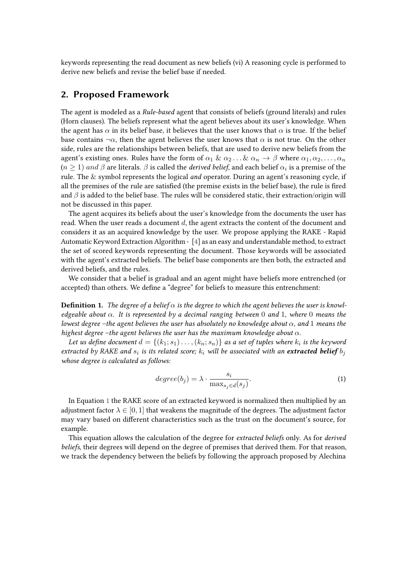keywords representing the read document as new beliefs (vi) A reasoning cycle is performed to derive new beliefs and revise the belief base if needed.

### **2. Proposed Framework**

The agent is modeled as a *Rule-based* agent that consists of beliefs (ground literals) and rules (Horn clauses). The beliefs represent what the agent believes about its user's knowledge. When the agent has  $\alpha$  in its belief base, it believes that the user knows that  $\alpha$  is true. If the belief base contains  $\neg \alpha$ , then the agent believes the user knows that  $\alpha$  is not true. On the other side, rules are the relationships between beliefs, that are used to derive new beliefs from the agent's existing ones. Rules have the form of  $\alpha_1 \& \alpha_2 \dots \& \alpha_n \rightarrow \beta$  where  $\alpha_1, \alpha_2, \dots, \alpha_n$  $(n\geq 1)$   $and$   $\beta$  are literals.  $\beta$  is called the *derived belief,* and each belief  $\alpha_i$  is a premise of the rule. The & symbol represents the logical *and* operator. During an agent's reasoning cycle, if all the premises of the rule are satisfed (the premise exists in the belief base), the rule is fred and  $\beta$  is added to the belief base. The rules will be considered static, their extraction/origin will not be discussed in this paper.

The agent acquires its beliefs about the user's knowledge from the documents the user has read. When the user reads a document  $d$ , the agent extracts the content of the document and considers it as an acquired knowledge by the user. We propose applying the RAKE - Rapid Automatic Keyword Extraction Algorithm - [\[4\]](#page-4-0) as an easy and understandable method, to extract the set of scored keywords representing the document. Those keywords will be associated with the agent's extracted beliefs. The belief base components are then both, the extracted and derived beliefs, and the rules.

We consider that a belief is gradual and an agent might have beliefs more entrenched (or accepted) than others. We defne a "degree" for beliefs to measure this entrenchment:

**Definition 1.** The degree of a belief  $\alpha$  is the degree to which the agent believes the user is knowl*edgeable about . It is represented by a decimal ranging between* 0 *and* 1*, where* 0 *means the lowest degree –the agent believes the user has absolutely no knowledge about*  $\alpha$ , and 1 *means the highest degree –the agent believes the user has the maximum knowledge about*  $\alpha$ *.* 

Let us define document  $d = \{(k_1; s_1) \dots, (k_n; s_n)\}$  as a set of tuples where  $k_i$  is the keyword extracted by RAKE and  $s_i$  is its related score;  $k_i$  will be associated with an **extracted belief**  $b_j$ *whose degree is calculated as follows:*

<span id="page-1-0"></span>
$$
degree(b_j) = \lambda \cdot \frac{s_i}{\max_{s_j \in d}(s_j)}.
$$
 (1)

In Equation [1](#page-1-0) the RAKE score of an extracted keyword is normalized then multiplied by an adjustment factor  $\lambda \in [0, 1]$  that weakens the magnitude of the degrees. The adjustment factor may vary based on diferent characteristics such as the trust on the document's source, for example.

This equation allows the calculation of the degree for *extracted beliefs* only. As for *derived beliefs*, their degrees will depend on the degree of premises that derived them. For that reason, we track the dependency between the beliefs by following the approach proposed by Alechina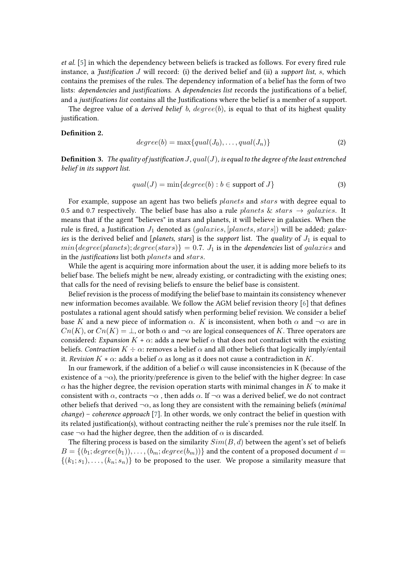*et al.* [\[5\]](#page-4-1) in which the dependency between beliefs is tracked as follows. For every fred rule instance, a *Justification J* will record: (i) the derived belief and (ii) a *support list*,  $s$ , which contains the premises of the rules. The dependency information of a belief has the form of two lists: *dependencies* and *justifcations*. A *dependencies list* records the justifcations of a belief, and a *justifcations list* contains all the Justifcations where the belief is a member of a support.

The degree value of a *derived belief* b,  $degree(b)$ , is equal to that of its highest quality justification.

#### **Defnition 2.**

$$
degree(b) = \max\{qual(J_0), \ldots, qual(J_n)\}\tag{2}
$$

**Definition 3.** *The quality of justification*  $J$ *,*  $qual(J)$ *, is equal to the degree of the least entrenched belief in its support list.*

$$
qual(J) = min\{degree(b) : b \in support \text{ of } J\}
$$
\n(3)

For example, suppose an agent has two beliefs *planets* and *stars* with degree equal to 0.5 and 0.7 respectively. The belief base has also a rule *planets* & stars  $\rightarrow$  *galaxies*. It means that if the agent "believes" in stars and planets, it will believe in galaxies. When the rule is fired, a Justification  $J_1$  denoted as  $(galaxies, [planets, stars])$  will be added; *galaxies* is the derived belief and [*planets, stars*] is the *support* list. The *quality* of  $J_1$  is equal to  $min{degree(planes)}$ ;  $degree(stars)$ } = 0.7.  $J_1$  is in the *dependencies* list of *galaxies* and in the *justifications* list both *planets* and *stars*.

While the agent is acquiring more information about the user, it is adding more beliefs to its belief base. The beliefs might be new, already existing, or contradicting with the existing ones; that calls for the need of revising beliefs to ensure the belief base is consistent.

Belief revision is the process of modifying the belief base to maintain its consistency whenever new information becomes available. We follow the AGM belief revision theory [\[6\]](#page-4-2) that defnes postulates a rational agent should satisfy when performing belief revision. We consider a belief base K and a new piece of information  $\alpha$ . K is inconsistent, when both  $\alpha$  and  $\neg \alpha$  are in  $Cn(K)$ , or  $Cn(K) = \perp$ , or both  $\alpha$  and  $\neg \alpha$  are logical consequences of K. Three operators are considered: *Expansion*  $K + \alpha$ : adds a new belief  $\alpha$  that does not contradict with the existing beliefs. *Contraction*  $K \div \alpha$ : removes a belief  $\alpha$  and all other beliefs that logically imply/entail it. *Revision*  $K * \alpha$ : adds a belief  $\alpha$  as long as it does not cause a contradiction in K.

In our framework, if the addition of a belief  $\alpha$  will cause inconsistencies in K (because of the existence of a  $\neg \alpha$ ), the priority/preference is given to the belief with the higher degree: In case  $\alpha$  has the higher degree, the revision operation starts with minimal changes in K to make it consistent with  $\alpha$ , contracts  $\neg \alpha$ , then adds  $\alpha$ . If  $\neg \alpha$  was a derived belief, we do not contract other beliefs that derived  $\neg \alpha$ , as long they are consistent with the remaining beliefs (*minimal change*) – *coherence approach* [\[7\]](#page-4-3). In other words, we only contract the belief in question with its related justifcation(s), without contracting neither the rule's premises nor the rule itself. In case  $\neg \alpha$  had the higher degree, then the addition of  $\alpha$  is discarded.

The filtering process is based on the similarity  $Sim(B, d)$  between the agent's set of beliefs  $B = \{(b_1; degree(b_1)), \ldots, (b_m; degree(b_m))\}$  and the content of a proposed document  $d =$  $\{(k_1; s_1), \ldots, (k_n; s_n)\}\)$  to be proposed to the user. We propose a similarity measure that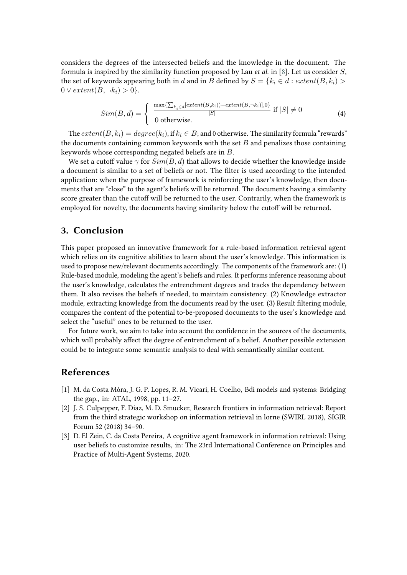considers the degrees of the intersected beliefs and the knowledge in the document. The formula is inspired by the similarity function proposed by Lau *et al.* in [\[8\]](#page-4-4). Let us consider  $S$ , the set of keywords appearing both in d and in B defined by  $S = \{k_i \in d : extent(B, k_i) > \}$  $0 \vee extent(B, \neg k_i) > 0$ .

$$
Sim(B, d) = \begin{cases} \frac{\max\{\sum_{k_i \in d} [extent(B, k_i)) - extent(B, \neg k_i)], 0\}}{|S|} & \text{if } |S| \neq 0\\ 0 & \text{otherwise.} \end{cases}
$$
(4)

The  $extend(B, k_i) = degree(k_i)$ , if  $k_i \in B$ ; and 0 otherwise. The similarity formula "rewards" the documents containing common keywords with the set  $B$  and penalizes those containing keywords whose corresponding negated beliefs are in  $B$ .

We set a cutoff value  $\gamma$  for  $Sim(B, d)$  that allows to decide whether the knowledge inside a document is similar to a set of beliefs or not. The flter is used according to the intended application: when the purpose of framework is reinforcing the user's knowledge, then documents that are "close" to the agent's beliefs will be returned. The documents having a similarity score greater than the cutoff will be returned to the user. Contrarily, when the framework is employed for novelty, the documents having similarity below the cutoff will be returned.

#### **3. Conclusion**

This paper proposed an innovative framework for a rule-based information retrieval agent which relies on its cognitive abilities to learn about the user's knowledge. This information is used to propose new/relevant documents accordingly. The components of the framework are: (1) Rule-based module, modeling the agent's beliefs and rules. It performs inference reasoning about the user's knowledge, calculates the entrenchment degrees and tracks the dependency between them. It also revises the beliefs if needed, to maintain consistency. (2) Knowledge extractor module, extracting knowledge from the documents read by the user. (3) Result fltering module, compares the content of the potential to-be-proposed documents to the user's knowledge and select the "useful" ones to be returned to the user.

For future work, we aim to take into account the confdence in the sources of the documents, which will probably afect the degree of entrenchment of a belief. Another possible extension could be to integrate some semantic analysis to deal with semantically similar content.

### **References**

- [1] M. da Costa Móra, J. G. P. Lopes, R. M. Vicari, H. Coelho, Bdi models and systems: Bridging the gap., in: ATAL, 1998, pp. 11–27.
- [2] J. S. Culpepper, F. Diaz, M. D. Smucker, Research frontiers in information retrieval: Report from the third strategic workshop on information retrieval in lorne (SWIRL 2018), SIGIR Forum 52 (2018) 34–90.
- [3] D. El Zein, C. da Costa Pereira, A cognitive agent framework in information retrieval: Using user beliefs to customize results, in: The 23rd International Conference on Principles and Practice of Multi-Agent Systems, 2020.